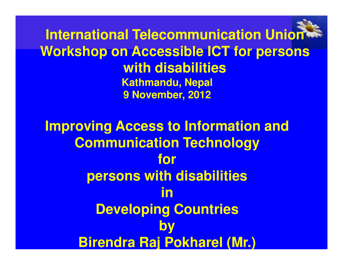**International Telecommunication Union Workshop on Accessible ICT for persons with disabilitiesKathmandu, Nepal9 November, 2012**

**Improving Access to Information and Communication Technology for persons with disabilities in Developing CountriesbyBirendra Raj Pokharel (Mr.)**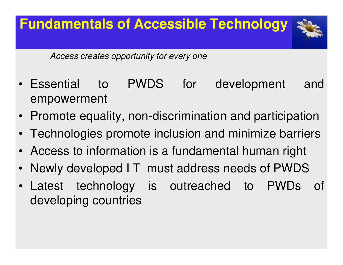

- Essential to PWDS for development andempowerment
- Promote equality, non-discrimination and participation
- •Technologies promote inclusion and minimize barriers
- •Access to information is <sup>a</sup> fundamental human right
- •Newly developed I T must address needs of PWDS
- Latest technology is outreached to PWDs of developing countries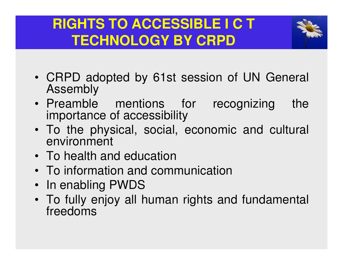## **RIGHTS TO ACCESSIBLE I C T TECHNOLOGY BY CRPD**



- CRPD adopted by 61st session of UN General Assembly
- Preamble mentions for recognizing theimportance of accessibility
- To the physical, social, economic and cultural environment
- To health and education
- To information and communication
- In enabling PWDS
- To fully enjoy all human rights and fundamental freedoms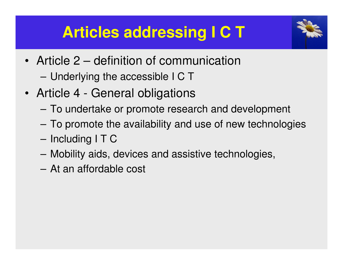## **Articles addressing I C T**



- Article 2 definition of communication
	- Underlying the accessible I C T
- Article <sup>4</sup> General obligations
	- To undertake or promote research and development
	- To promote the availability and use of new technologies
	- Including I T C
	- Mobility aids, devices and assistive technologies,
	- –At an affordable cost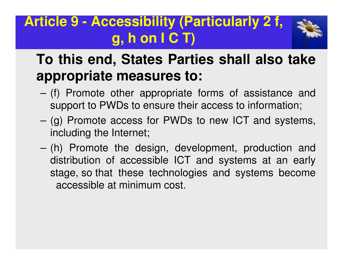### **Article 9 - Accessibility (Particularly 2 f, g, h on I C T)**



### **To this end, States Parties shall also takeappropriate measures to:**

- (f) Promote other appropriate forms of assistance andsupport to PWDs to ensure their access to information;
- (g) Promote access for PWDs to new ICT and systems, including the Internet;
- (h) Promote the design, development, production and distribution of accessible ICT and systems at an early stage, so that these technologies and systems becomeaccessible at minimum cost.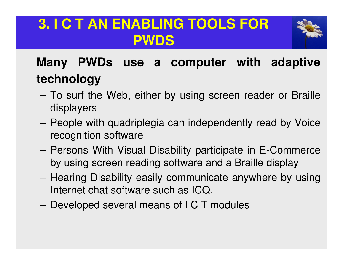### **3. I C T AN ENABLING TOOLS FOR PWDS**



### **Many PWDs use <sup>a</sup> computer with adaptivetechnology**

- To surf the Web, either by using screen reader or Brailledisplayers
- People with quadriplegia can independently read by Voicerecognition software
- Persons With Visual Disability participate in E-Commerceby using screen reading software and <sup>a</sup> Braille display
- Hearing Disability easily communicate anywhere by usingInternet chat software such as ICQ.
- Developed several means of I C T modules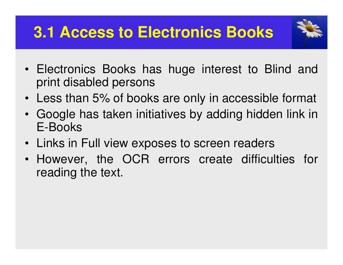## **3.1 Access to Electronics Books**



- Electronics Books has huge interest to Blind andprint disabled persons
- Less than 5% of books are only in accessible format
- Google has taken initiatives by adding hidden link inE-Books
- Links in Full view exposes to screen readers
- However, the OCR errors create difficulties forreading the text.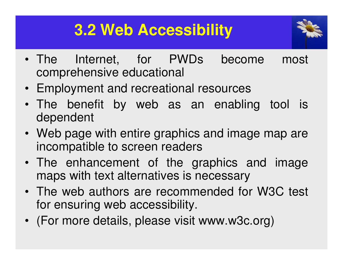## **3.2 Web Accessibility**



- The Internet, for PWDs become most comprehensive educational
- Employment and recreational resources
- The benefit by web as an enabling tool isdependent
- Web page with entire graphics and image map are incompatible to screen readers
- The enhancement of the graphics and imagemaps with text alternatives is necessary
- The web authors are recommended for W3C test for ensuring web accessibility.
- (For more details, please visit www.w3c.org)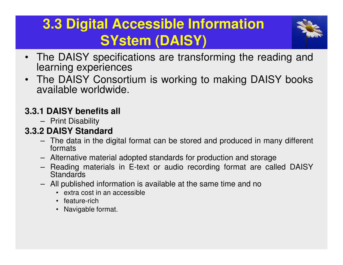## **3.3 Digital Accessible Information SYstem (DAISY)**



- • The DAISY specifications are transforming the reading andlearning experiences
- The DAISY Consortium is working to making DAISY booksavailable worldwide.

#### **3.3.1 DAISY benefits all**

– Print Disability

#### **3.3.2 DAISY Standard**

- The data in the digital format can be stored and produced in many different formats
- Alternative material adopted standards for production and storage
- Reading materials in E-text or audio recording format are called DAISY**Standards**
- All published information is available at the same time and no
	- extra cost in an accessible
	- feature-rich
	- Navigable format.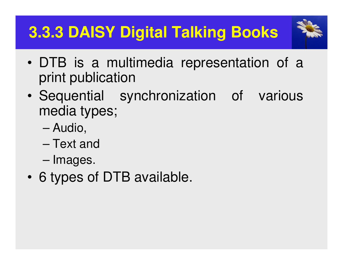## **3.3.3 DAISY Digital Talking Books**



- •DTB is a multimedia representation of a print publication
- • Sequential synchronization of variousmedia types;
	- –Audio,
	- –Text and
	- –Images.
- •6 types of DTB available.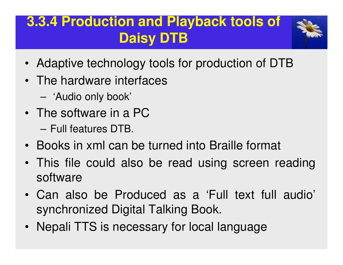### **3.3.4 Production and Playback tools of Daisy DTB**



- Adaptive technology tools for production of DTB
- The hardware interfaces
	- –'Audio only book'
- The software in <sup>a</sup> PC
	- – $-$  Full features DTB.
- Books in xml can be turned into Braille format
- This file could also be read using screen readingsoftware
- Can also be Produced as <sup>a</sup> 'Full text full audio' synchronized Digital Talking Book.
- Nepali TTS is necessary for local language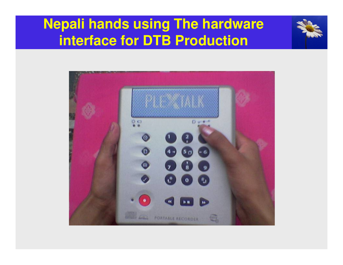### **Nepali hands using The hardware interface for DTB Production**



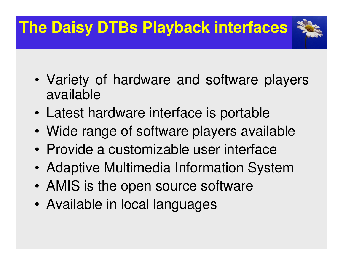# **The Daisy DTBs Playback interfaces**

- • Variety of hardware and software playersavailable
- •Latest hardware interface is portable
- •Wide range of software players available
- •Provide <sup>a</sup> customizable user interface
- •Adaptive Multimedia Information System
- •AMIS is the open source software
- •Available in local languages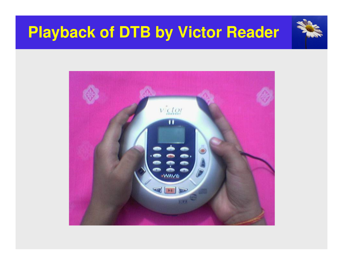## **Playback of DTB by Victor Reader**

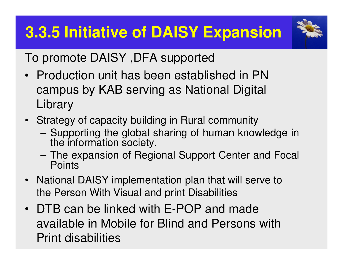## **3.3.5 Initiative of DAISY Expansion**



To promote DAISY ,DFA supported

- Production unit has been established in PN campus by KAB serving as National Digital **Library**
- Strategy of capacity building in Rural community
	- Supporting the global sharing of human knowledge in<br>the information esciety the information society.
	- The expansion of Regional Support Center and Focal **Points**
- National DAISY implementation plan that will serve to the Person With Visual and print Disabilities
- DTB can be linked with E-POP and made available in Mobile for Blind and Persons with Print disabilities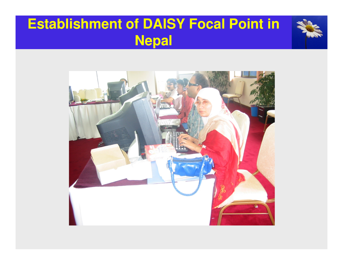### **Establishment of DAISY Focal Point in Nepal**

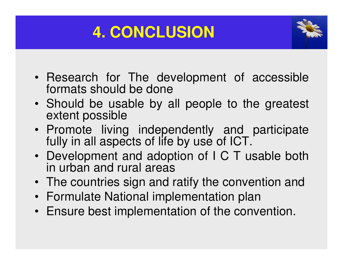## **4. CONCLUSION**



- Research for The development of accessibleformats should be done
- Should be usable by all people to the greatest extent possible
- Promote living independently and participate fully in all aspects of life by use of ICT.
- Development and adoption of I C T usable bothin urban and rural areas
- The countries sign and ratify the convention and
- Formulate National implementation plan
- Ensure best implementation of the convention.